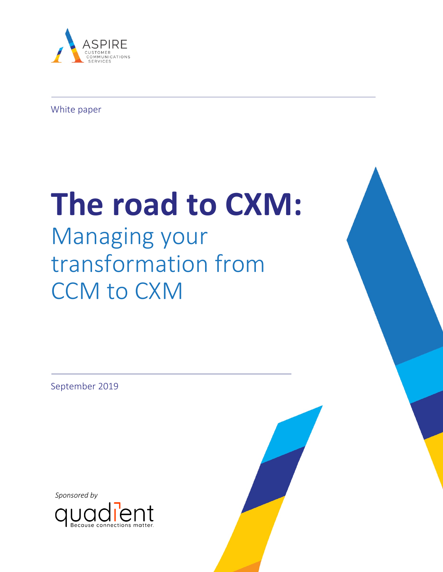

White paper

# **The road to CXM:**

# Managing your transformation from CCM to CXM

September 2019

*Sponsored by*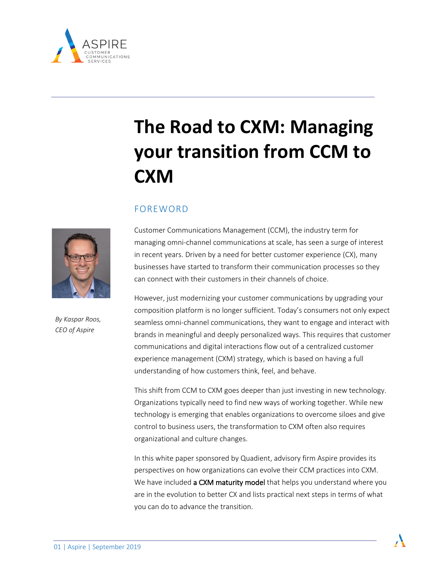

# **The Road to CXM: Managing your transition from CCM to CXM**

# FOREWORD



*By Kaspar Roos, CEO of Aspire*

Customer Communications Management (CCM), the industry term for managing omni-channel communications at scale, has seen a surge of interest in recent years. Driven by a need for better customer experience (CX), many businesses have started to transform their communication processes so they can connect with their customers in their channels of choice.

However, just modernizing your customer communications by upgrading your composition platform is no longer sufficient. Today's consumers not only expect seamless omni-channel communications, they want to engage and interact with brands in meaningful and deeply personalized ways. This requires that customer communications and digital interactions flow out of a centralized customer experience management (CXM) strategy, which is based on having a full understanding of how customers think, feel, and behave.

This shift from CCM to CXM goes deeper than just investing in new technology. Organizations typically need to find new ways of working together. While new technology is emerging that enables organizations to overcome siloes and give control to business users, the transformation to CXM often also requires organizational and culture changes.

In this white paper sponsored by Quadient, advisory firm Aspire provides its perspectives on how organizations can evolve their CCM practices into CXM. We have included a CXM maturity model that helps you understand where you are in the evolution to better CX and lists practical next steps in terms of what you can do to advance the transition.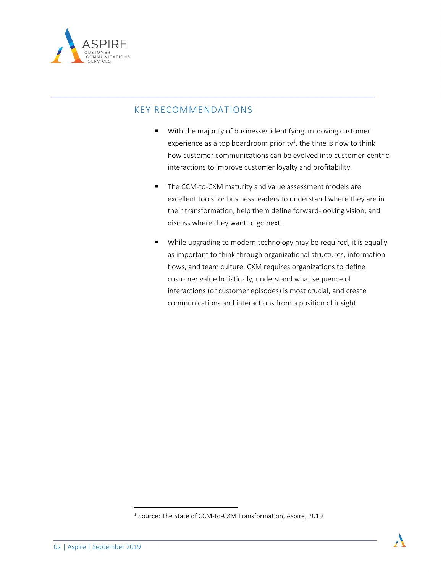

# KEY RECOMMENDATIONS

- With the majority of businesses identifying improving customer experience as a top boardroom priority<sup>1</sup>, the time is now to think how customer communications can be evolved into customer-centric interactions to improve customer loyalty and profitability.
- The CCM-to-CXM maturity and value assessment models are excellent tools for business leaders to understand where they are in their transformation, help them define forward-looking vision, and discuss where they want to go next.
- § While upgrading to modern technology may be required, it is equally as important to think through organizational structures, information flows, and team culture. CXM requires organizations to define customer value holistically, understand what sequence of interactions (or customer episodes) is most crucial, and create communications and interactions from a position of insight.

<sup>&</sup>lt;sup>1</sup> Source: The State of CCM-to-CXM Transformation, Aspire, 2019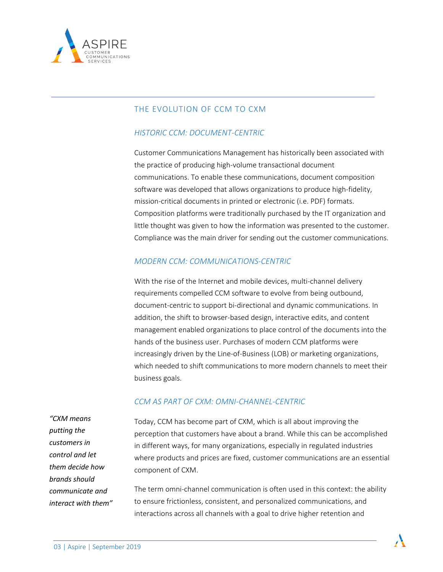

# THE EVOLUTION OF CCM TO CXM

## *HISTORIC CCM: DOCUMENT-CENTRIC*

Customer Communications Management has historically been associated with the practice of producing high-volume transactional document communications. To enable these communications, document composition software was developed that allows organizations to produce high-fidelity, mission-critical documents in printed or electronic (i.e. PDF) formats. Composition platforms were traditionally purchased by the IT organization and little thought was given to how the information was presented to the customer. Compliance was the main driver for sending out the customer communications.

#### *MODERN CCM: COMMUNICATIONS-CENTRIC*

With the rise of the Internet and mobile devices, multi-channel delivery requirements compelled CCM software to evolve from being outbound, document-centric to support bi-directional and dynamic communications. In addition, the shift to browser-based design, interactive edits, and content management enabled organizations to place control of the documents into the hands of the business user. Purchases of modern CCM platforms were increasingly driven by the Line-of-Business (LOB) or marketing organizations, which needed to shift communications to more modern channels to meet their business goals.

#### *CCM AS PART OF CXM: OMNI-CHANNEL-CENTRIC*

*"CXM means putting the customers in control and let them decide how brands should communicate and interact with them"*

Today, CCM has become part of CXM, which is all about improving the perception that customers have about a brand. While this can be accomplished in different ways, for many organizations, especially in regulated industries where products and prices are fixed, customer communications are an essential component of CXM.

The term omni-channel communication is often used in this context: the ability to ensure frictionless, consistent, and personalized communications, and interactions across all channels with a goal to drive higher retention and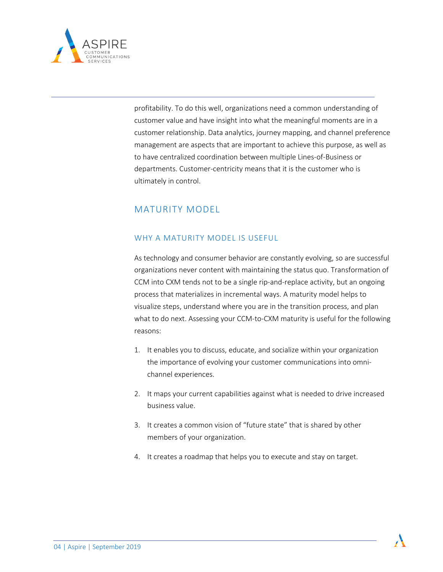

profitability. To do this well, organizations need a common understanding of customer value and have insight into what the meaningful moments are in a customer relationship. Data analytics, journey mapping, and channel preference management are aspects that are important to achieve this purpose, as well as to have centralized coordination between multiple Lines-of-Business or departments. Customer-centricity means that it is the customer who is ultimately in control.

# MATURITY MODEL

# WHY A MATURITY MODEL IS USEFUL

As technology and consumer behavior are constantly evolving, so are successful organizations never content with maintaining the status quo. Transformation of CCM into CXM tends not to be a single rip-and-replace activity, but an ongoing process that materializes in incremental ways. A maturity model helps to visualize steps, understand where you are in the transition process, and plan what to do next. Assessing your CCM-to-CXM maturity is useful for the following reasons:

- 1. It enables you to discuss, educate, and socialize within your organization the importance of evolving your customer communications into omnichannel experiences.
- 2. It maps your current capabilities against what is needed to drive increased business value.
- 3. It creates a common vision of "future state" that is shared by other members of your organization.
- 4. It creates a roadmap that helps you to execute and stay on target.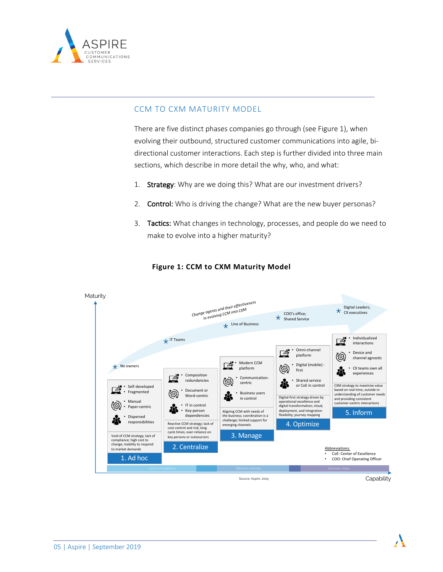

#### CCM TO CXM MATURITY MODEL

There are five distinct phases companies go through (see Figure 1), when evolving their outbound, structured customer communications into agile, bidirectional customer interactions. Each step is further divided into three main sections, which describe in more detail the why, who, and what:

- 1. Strategy: Why are we doing this? What are our investment drivers?
- 2. Control: Who is driving the change? What are the new buyer personas?
- 3. Tactics: What changes in technology, processes, and people do we need to make to evolve into a higher maturity?



#### **Figure 1: CCM to CXM Maturity Model**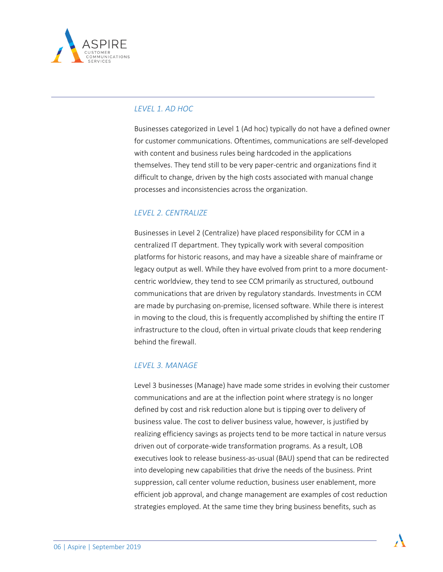

#### *LEVEL 1. AD HOC*

Businesses categorized in Level 1 (Ad hoc) typically do not have a defined owner for customer communications. Oftentimes, communications are self-developed with content and business rules being hardcoded in the applications themselves. They tend still to be very paper-centric and organizations find it difficult to change, driven by the high costs associated with manual change processes and inconsistencies across the organization.

# *LEVEL 2. CENTRALIZE*

Businesses in Level 2 (Centralize) have placed responsibility for CCM in a centralized IT department. They typically work with several composition platforms for historic reasons, and may have a sizeable share of mainframe or legacy output as well. While they have evolved from print to a more documentcentric worldview, they tend to see CCM primarily as structured, outbound communications that are driven by regulatory standards. Investments in CCM are made by purchasing on-premise, licensed software. While there is interest in moving to the cloud, this is frequently accomplished by shifting the entire IT infrastructure to the cloud, often in virtual private clouds that keep rendering behind the firewall.

## *LEVEL 3. MANAGE*

Level 3 businesses (Manage) have made some strides in evolving their customer communications and are at the inflection point where strategy is no longer defined by cost and risk reduction alone but is tipping over to delivery of business value. The cost to deliver business value, however, is justified by realizing efficiency savings as projects tend to be more tactical in nature versus driven out of corporate-wide transformation programs. As a result, LOB executives look to release business-as-usual (BAU) spend that can be redirected into developing new capabilities that drive the needs of the business. Print suppression, call center volume reduction, business user enablement, more efficient job approval, and change management are examples of cost reduction strategies employed. At the same time they bring business benefits, such as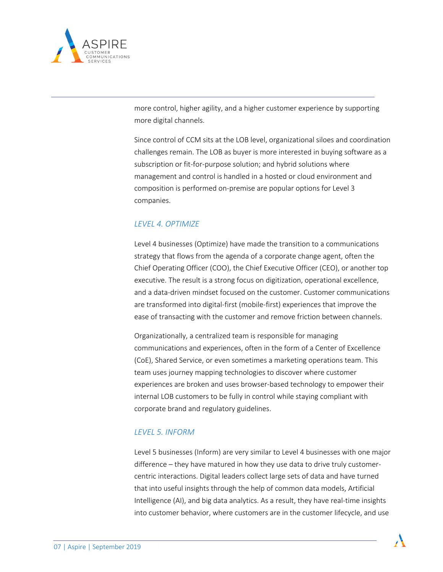

more control, higher agility, and a higher customer experience by supporting more digital channels.

Since control of CCM sits at the LOB level, organizational siloes and coordination challenges remain. The LOB as buyer is more interested in buying software as a subscription or fit-for-purpose solution; and hybrid solutions where management and control is handled in a hosted or cloud environment and composition is performed on-premise are popular options for Level 3 companies.

# *LEVEL 4. OPTIMIZE*

Level 4 businesses (Optimize) have made the transition to a communications strategy that flows from the agenda of a corporate change agent, often the Chief Operating Officer (COO), the Chief Executive Officer (CEO), or another top executive. The result is a strong focus on digitization, operational excellence, and a data-driven mindset focused on the customer. Customer communications are transformed into digital-first (mobile-first) experiences that improve the ease of transacting with the customer and remove friction between channels.

Organizationally, a centralized team is responsible for managing communications and experiences, often in the form of a Center of Excellence (CoE), Shared Service, or even sometimes a marketing operations team. This team uses journey mapping technologies to discover where customer experiences are broken and uses browser-based technology to empower their internal LOB customers to be fully in control while staying compliant with corporate brand and regulatory guidelines.

#### *LEVEL 5. INFORM*

Level 5 businesses (Inform) are very similar to Level 4 businesses with one major difference – they have matured in how they use data to drive truly customercentric interactions. Digital leaders collect large sets of data and have turned that into useful insights through the help of common data models, Artificial Intelligence (AI), and big data analytics. As a result, they have real-time insights into customer behavior, where customers are in the customer lifecycle, and use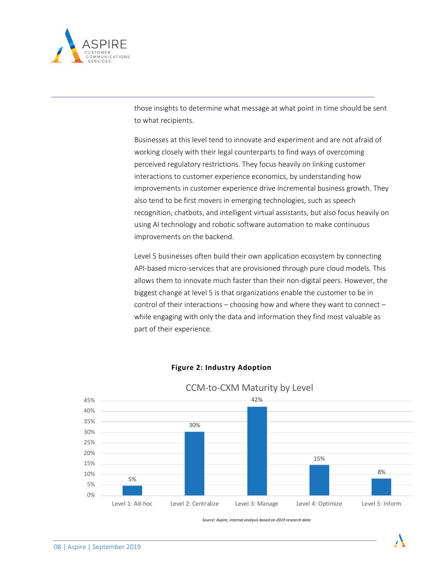

those insights to determine what message at what point in time should be sent to what recipients.

Businesses at this level tend to innovate and experiment and are not afraid of working closely with their legal counterparts to find ways of overcoming perceived regulatory restrictions. They focus heavily on linking customer interactions to customer experience economics, by understanding how improvements in customer experience drive incremental business growth. They also tend to be first movers in emerging technologies, such as speech recognition, chatbots, and intelligent virtual assistants, but also focus heavily on using AI technology and robotic software automation to make continuous improvements on the backend.

Level 5 businesses often build their own application ecosystem by connecting API-based micro-services that are provisioned through pure cloud models. This allows them to innovate much faster than their non-digital peers. However, the biggest change at level 5 is that organizations enable the customer to be in control of their interactions – choosing how and where they want to connect – while engaging with only the data and information they find most valuable as part of their experience.



#### **Figure 2: Industry Adoption**

*Source: Aspire, internal analysis based on 2019 research data*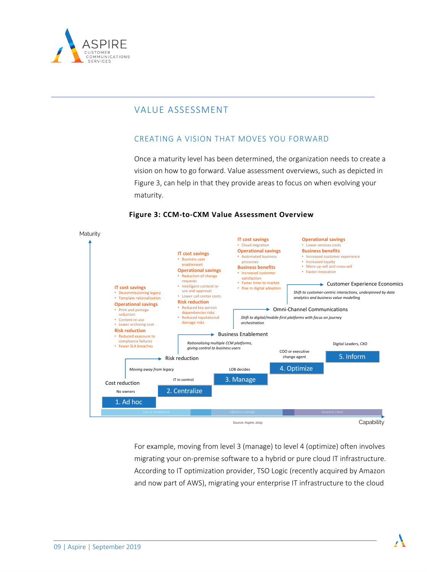

# VALUE ASSESSMENT

# CREATING A VISION THAT MOVES YOU FORWARD

Once a maturity level has been determined, the organization needs to create a vision on how to go forward. Value assessment overviews, such as depicted in Figure 3, can help in that they provide areas to focus on when evolving your maturity.



#### **Figure 3: CCM-to-CXM Value Assessment Overview**

For example, moving from level 3 (manage) to level 4 (optimize) often involves migrating your on-premise software to a hybrid or pure cloud IT infrastructure. According to IT optimization provider, TSO Logic (recently acquired by Amazon and now part of AWS), migrating your enterprise IT infrastructure to the cloud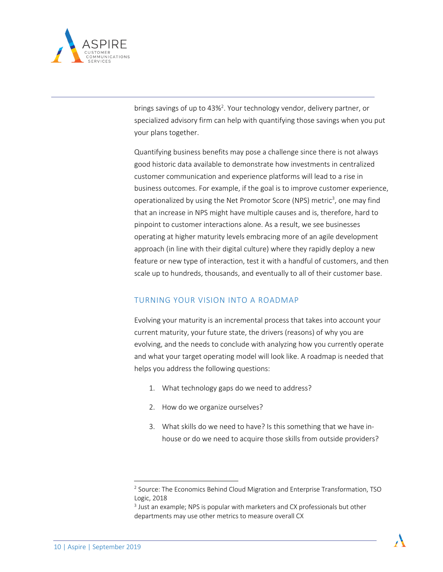

brings savings of up to 43%<sup>2</sup>. Your technology vendor, delivery partner, or specialized advisory firm can help with quantifying those savings when you put your plans together.

Quantifying business benefits may pose a challenge since there is not always good historic data available to demonstrate how investments in centralized customer communication and experience platforms will lead to a rise in business outcomes. For example, if the goal is to improve customer experience, operationalized by using the Net Promotor Score (NPS) metric<sup>3</sup>, one may find that an increase in NPS might have multiple causes and is, therefore, hard to pinpoint to customer interactions alone. As a result, we see businesses operating at higher maturity levels embracing more of an agile development approach (in line with their digital culture) where they rapidly deploy a new feature or new type of interaction, test it with a handful of customers, and then scale up to hundreds, thousands, and eventually to all of their customer base.

#### TURNING YOUR VISION INTO A ROADMAP

Evolving your maturity is an incremental process that takes into account your current maturity, your future state, the drivers (reasons) of why you are evolving, and the needs to conclude with analyzing how you currently operate and what your target operating model will look like. A roadmap is needed that helps you address the following questions:

- 1. What technology gaps do we need to address?
- 2. How do we organize ourselves?
- 3. What skills do we need to have? Is this something that we have inhouse or do we need to acquire those skills from outside providers?

<sup>&</sup>lt;sup>2</sup> Source: The Economics Behind Cloud Migration and Enterprise Transformation, TSO Logic, 2018

<sup>&</sup>lt;sup>3</sup> Just an example; NPS is popular with marketers and CX professionals but other departments may use other metrics to measure overall CX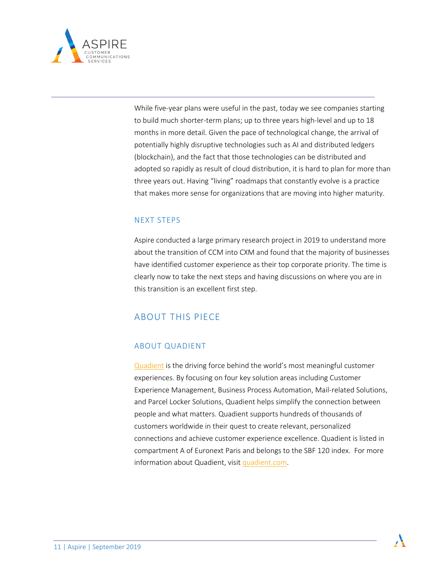

While five-year plans were useful in the past, today we see companies starting to build much shorter-term plans; up to three years high-level and up to 18 months in more detail. Given the pace of technological change, the arrival of potentially highly disruptive technologies such as AI and distributed ledgers (blockchain), and the fact that those technologies can be distributed and adopted so rapidly as result of cloud distribution, it is hard to plan for more than three years out. Having "living" roadmaps that constantly evolve is a practice that makes more sense for organizations that are moving into higher maturity.

# NEXT STEPS

Aspire conducted a large primary research project in 2019 to understand more about the transition of CCM into CXM and found that the majority of businesses have identified customer experience as their top corporate priority. The time is clearly now to take the next steps and having discussions on where you are in this transition is an excellent first step.

# ABOUT THIS PIECE

## ABOUT QUADIENT

Quadient is the driving force behind the world's most meaningful customer experiences. By focusing on four key solution areas including Customer Experience Management, Business Process Automation, Mail-related Solutions, and Parcel Locker Solutions, Quadient helps simplify the connection between people and what matters. Quadient supports hundreds of thousands of customers worldwide in their quest to create relevant, personalized connections and achieve customer experience excellence. Quadient is listed in compartment A of Euronext Paris and belongs to the SBF 120 index. For more information about Quadient, visit quadient.com.